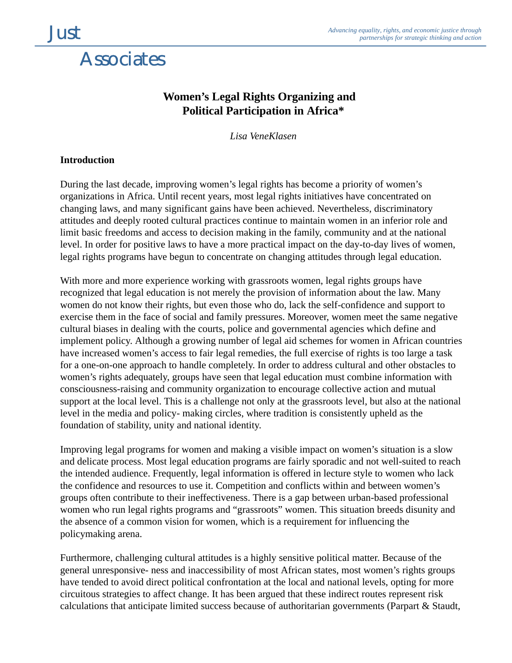## **Associates**

## **Women's Legal Rights Organizing and Political Participation in Africa\***

*Lisa VeneKlasen*

## **Introduction**

During the last decade, improving women's legal rights has become a priority of women's organizations in Africa. Until recent years, most legal rights initiatives have concentrated on changing laws, and many significant gains have been achieved. Nevertheless, discriminatory attitudes and deeply rooted cultural practices continue to maintain women in an inferior role and limit basic freedoms and access to decision making in the family, community and at the national level. In order for positive laws to have a more practical impact on the day-to-day lives of women, legal rights programs have begun to concentrate on changing attitudes through legal education.

With more and more experience working with grassroots women, legal rights groups have recognized that legal education is not merely the provision of information about the law. Many women do not know their rights, but even those who do, lack the self-confidence and support to exercise them in the face of social and family pressures. Moreover, women meet the same negative cultural biases in dealing with the courts, police and governmental agencies which define and implement policy. Although a growing number of legal aid schemes for women in African countries have increased women's access to fair legal remedies, the full exercise of rights is too large a task for a one-on-one approach to handle completely. In order to address cultural and other obstacles to women's rights adequately, groups have seen that legal education must combine information with consciousness-raising and community organization to encourage collective action and mutual support at the local level. This is a challenge not only at the grassroots level, but also at the national level in the media and policy- making circles, where tradition is consistently upheld as the foundation of stability, unity and national identity.

Improving legal programs for women and making a visible impact on women's situation is a slow and delicate process. Most legal education programs are fairly sporadic and not well-suited to reach the intended audience. Frequently, legal information is offered in lecture style to women who lack the confidence and resources to use it. Competition and conflicts within and between women's groups often contribute to their ineffectiveness. There is a gap between urban-based professional women who run legal rights programs and "grassroots" women. This situation breeds disunity and the absence of a common vision for women, which is a requirement for influencing the policymaking arena.

Furthermore, challenging cultural attitudes is a highly sensitive political matter. Because of the general unresponsive- ness and inaccessibility of most African states, most women's rights groups have tended to avoid direct political confrontation at the local and national levels, opting for more circuitous strategies to affect change. It has been argued that these indirect routes represent risk calculations that anticipate limited success because of authoritarian governments (Parpart & Staudt,